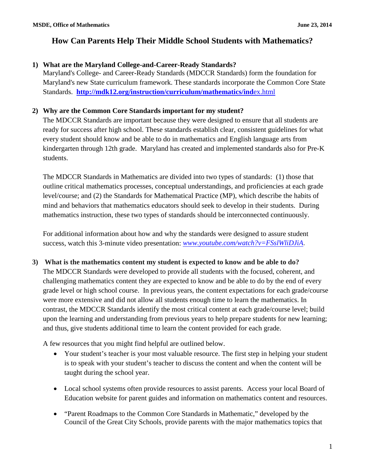## **1) What are the Maryland College-and-Career-Ready Standards?**

Maryland's College- and Career-Ready Standards (MDCCR Standards) form the foundation for Maryland's new State curriculum framework. These standards incorporate the Common Core State Standards. **[http://mdk12.org/instruction/curriculum/mathematics/ind](http://mdk12.org/instruction/curriculum/mathematics/index.html)**ex.html

## **2) Why are the Common Core Standards important for my student?**

The MDCCR Standards are important because they were designed to ensure that all students are ready for success after high school. These standards establish clear, consistent guidelines for what every student should know and be able to do in mathematics and English language arts from kindergarten through 12th grade. Maryland has created and implemented standards also for Pre-K students.

The MDCCR Standards in Mathematics are divided into two types of standards: (1) those that outline critical mathematics processes, conceptual understandings, and proficiencies at each grade level/course; and (2) the Standards for Mathematical Practice (MP), which describe the habits of mind and behaviors that mathematics educators should seek to develop in their students. During mathematics instruction, these two types of standards should be interconnected continuously.

For additional information about how and why the standards were designed to assure student success, watch this 3-minute video presentation: *[www.youtube.com/watch?v=FSslWliDJiA](http://www.youtube.com/watch?v=FSslWliDJiA)*.

## **3) What is the mathematics content my student is expected to know and be able to do?**

The MDCCR Standards were developed to provide all students with the focused, coherent, and challenging mathematics content they are expected to know and be able to do by the end of every grade level or high school course. In previous years, the content expectations for each grade/course were more extensive and did not allow all students enough time to learn the mathematics. In contrast, the MDCCR Standards identify the most critical content at each grade/course level; build upon the learning and understanding from previous years to help prepare students for new learning; and thus, give students additional time to learn the content provided for each grade.

A few resources that you might find helpful are outlined below.

- Your student's teacher is your most valuable resource. The first step in helping your student is to speak with your student's teacher to discuss the content and when the content will be taught during the school year.
- Local school systems often provide resources to assist parents. Access your local Board of Education website for parent guides and information on mathematics content and resources.
- "Parent Roadmaps to the Common Core Standards in Mathematic," developed by the Council of the Great City Schools, provide parents with the major mathematics topics that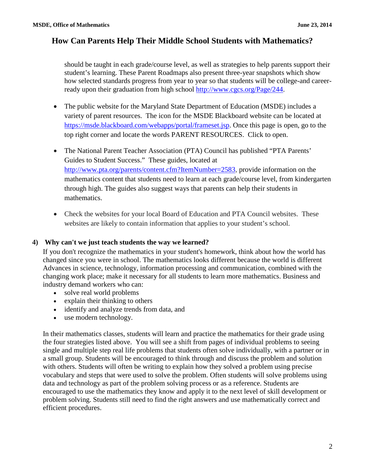should be taught in each grade/course level, as well as strategies to help parents support their student's learning. These Parent Roadmaps also present three-year snapshots which show how selected standards progress from year to year so that students will be college-and careerready upon their graduation from high school [http://www.cgcs.org/Page/244.](http://www.cgcs.org/Page/244)

- The public website for the Maryland State Department of Education (MSDE) includes a variety of parent resources. The icon for the MSDE Blackboard website can be located at [https://msde.blackboard.com/webapps/portal/frameset.jsp.](https://msde.blackboard.com/webapps/portal/frameset.jsp) Once this page is open, go to the top right corner and locate the words PARENT RESOURCES. Click to open.
- The National Parent Teacher Association (PTA) Council has published "PTA Parents' Guides to Student Success." These guides, located at <http://www.pta.org/parents/content.cfm?ItemNumber=2583>, provide information on the mathematics content that students need to learn at each grade/course level, from kindergarten through high. The guides also suggest ways that parents can help their students in mathematics.
- Check the websites for your local Board of Education and PTA Council websites. These websites are likely to contain information that applies to your student's school.

## **4) Why can't we just teach students the way we learned?**

If you don't recognize the mathematics in your student's homework, think about how the world has changed since you were in school. The mathematics looks different because the world is different Advances in science, technology, information processing and communication, combined with the changing work place; make it necessary for all students to learn more mathematics. Business and industry demand workers who can:

- solve real world problems
- explain their thinking to others
- identify and analyze trends from data, and
- use modern technology.

In their mathematics classes, students will learn and practice the mathematics for their grade using the four strategies listed above. You will see a shift from pages of individual problems to seeing single and multiple step real life problems that students often solve individually, with a partner or in a small group. Students will be encouraged to think through and discuss the problem and solution with others. Students will often be writing to explain how they solved a problem using precise vocabulary and steps that were used to solve the problem. Often students will solve problems using data and technology as part of the problem solving process or as a reference. Students are encouraged to use the mathematics they know and apply it to the next level of skill development or problem solving. Students still need to find the right answers and use mathematically correct and efficient procedures.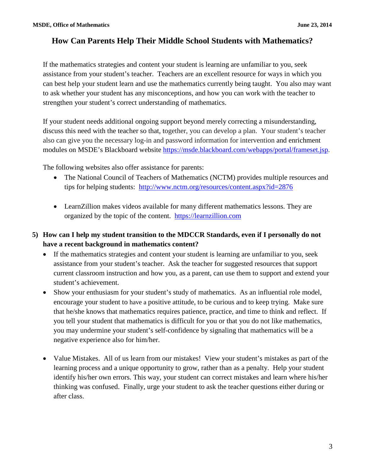If the mathematics strategies and content your student is learning are unfamiliar to you, seek assistance from your student's teacher. Teachers are an excellent resource for ways in which you can best help your student learn and use the mathematics currently being taught. You also may want to ask whether your student has any misconceptions, and how you can work with the teacher to strengthen your student's correct understanding of mathematics.

If your student needs additional ongoing support beyond merely correcting a misunderstanding, discuss this need with the teacher so that, together, you can develop a plan. Your student's teacher also can give you the necessary log-in and password information for intervention and enrichment modules on MSDE's Blackboard website<https://msde.blackboard.com/webapps/portal/frameset.jsp>.

The following websites also offer assistance for parents:

- The National Council of Teachers of Mathematics (NCTM) provides multiple resources and tips for helping students: <http://www.nctm.org/resources/content.aspx?id=2876>
- LearnZillion makes videos available for many different mathematics lessons. They are organized by the topic of the content. [https://learnzillion.com](https://learnzillion.com/)
- **5) How can I help my student transition to the MDCCR Standards, even if I personally do not have a recent background in mathematics content?**
	- If the mathematics strategies and content your student is learning are unfamiliar to you, seek assistance from your student's teacher. Ask the teacher for suggested resources that support current classroom instruction and how you, as a parent, can use them to support and extend your student's achievement.
	- Show your enthusiasm for your student's study of mathematics. As an influential role model, encourage your student to have a positive attitude, to be curious and to keep trying. Make sure that he/she knows that mathematics requires patience, practice, and time to think and reflect. If you tell your student that mathematics is difficult for you or that you do not like mathematics, you may undermine your student's self-confidence by signaling that mathematics will be a negative experience also for him/her.
	- Value Mistakes. All of us learn from our mistakes! View your student's mistakes as part of the learning process and a unique opportunity to grow, rather than as a penalty. Help your student identify his/her own errors. This way, your student can correct mistakes and learn where his/her thinking was confused. Finally, urge your student to ask the teacher questions either during or after class.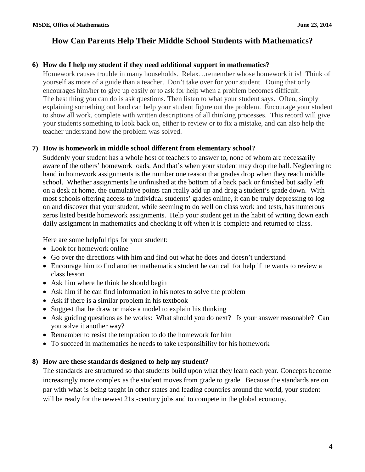#### **6) How do I help my student if they need additional support in mathematics?**

Homework causes trouble in many households. Relax…remember whose homework it is! Think of yourself as more of a guide than a teacher. Don't take over for your student. Doing that only encourages him/her to give up easily or to ask for help when a problem becomes difficult. The best thing you can do is ask questions. Then listen to what your student says. Often, simply explaining something out loud can help your student figure out the problem. Encourage your student to show all work, complete with written descriptions of all thinking processes. This record will give your students something to look back on, either to review or to fix a mistake, and can also help the teacher understand how the problem was solved.

#### **7) How is homework in middle school different from elementary school?**

Suddenly your student has a whole host of teachers to answer to, none of whom are necessarily aware of the others' homework loads. And that's when your student may drop the ball. Neglecting to hand in homework assignments is the number one reason that grades drop when they reach middle school. Whether assignments lie unfinished at the bottom of a back pack or finished but sadly left on a desk at home, the cumulative points can really add up and drag a student's grade down. With most schools offering access to individual students' grades online, it can be truly depressing to log on and discover that your student, while seeming to do well on class work and tests, has numerous zeros listed beside homework assignments. Help your student get in the habit of writing down each daily assignment in mathematics and checking it off when it is complete and returned to class.

Here are some helpful tips for your student:

- Look for homework online
- Go over the directions with him and find out what he does and doesn't understand
- Encourage him to find another mathematics student he can call for help if he wants to review a class lesson
- Ask him where he think he should begin
- Ask him if he can find information in his notes to solve the problem
- Ask if there is a similar problem in his textbook
- Suggest that he draw or make a model to explain his thinking
- Ask guiding questions as he works: What should you do next? Is your answer reasonable? Can you solve it another way?
- Remember to resist the temptation to do the homework for him
- To succeed in mathematics he needs to take responsibility for his homework

## **8) How are these standards designed to help my student?**

The standards are structured so that students build upon what they learn each year. Concepts become increasingly more complex as the student moves from grade to grade. Because the standards are on par with what is being taught in other states and leading countries around the world, your student will be ready for the newest 21st-century jobs and to compete in the global economy.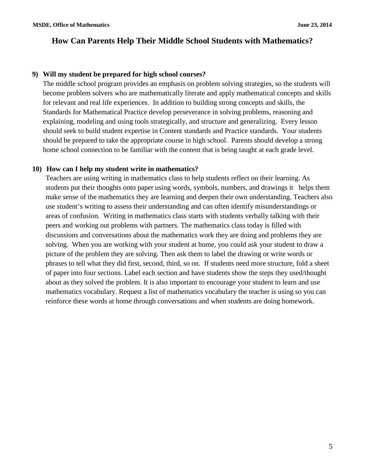#### **9) Will my student be prepared for high school courses?**

The middle school program provides an emphasis on problem solving strategies, so the students will become problem solvers who are mathematically literate and apply mathematical concepts and skills for relevant and real life experiences. In addition to building strong concepts and skills, the Standards for Mathematical Practice develop perseverance in solving problems, reasoning and explaining, modeling and using tools strategically, and structure and generalizing. Every lesson should seek to build student expertise in Content standards and Practice standards. Your students should be prepared to take the appropriate course in high school. Parents should develop a strong home school connection to be familiar with the content that is being taught at each grade level.

#### **10) How can I help my student write in mathematics?**

Teachers are using writing in mathematics class to help students reflect on their learning. As students put their thoughts onto paper using words, symbols, numbers, and drawings it helps them make sense of the mathematics they are learning and deepen their own understanding. Teachers also use student's writing to assess their understanding and can often identify misunderstandings or areas of confusion. Writing in mathematics class starts with students verbally talking with their peers and working out problems with partners. The mathematics class today is filled with discussions and conversations about the mathematics work they are doing and problems they are solving. When you are working with your student at home, you could ask your student to draw a picture of the problem they are solving. Then ask them to label the drawing or write words or phrases to tell what they did first, second, third, so on. If students need more structure, fold a sheet of paper into four sections. Label each section and have students show the steps they used/thought about as they solved the problem. It is also important to encourage your student to learn and use mathematics vocabulary. Request a list of mathematics vocabulary the teacher is using so you can reinforce these words at home through conversations and when students are doing homework.